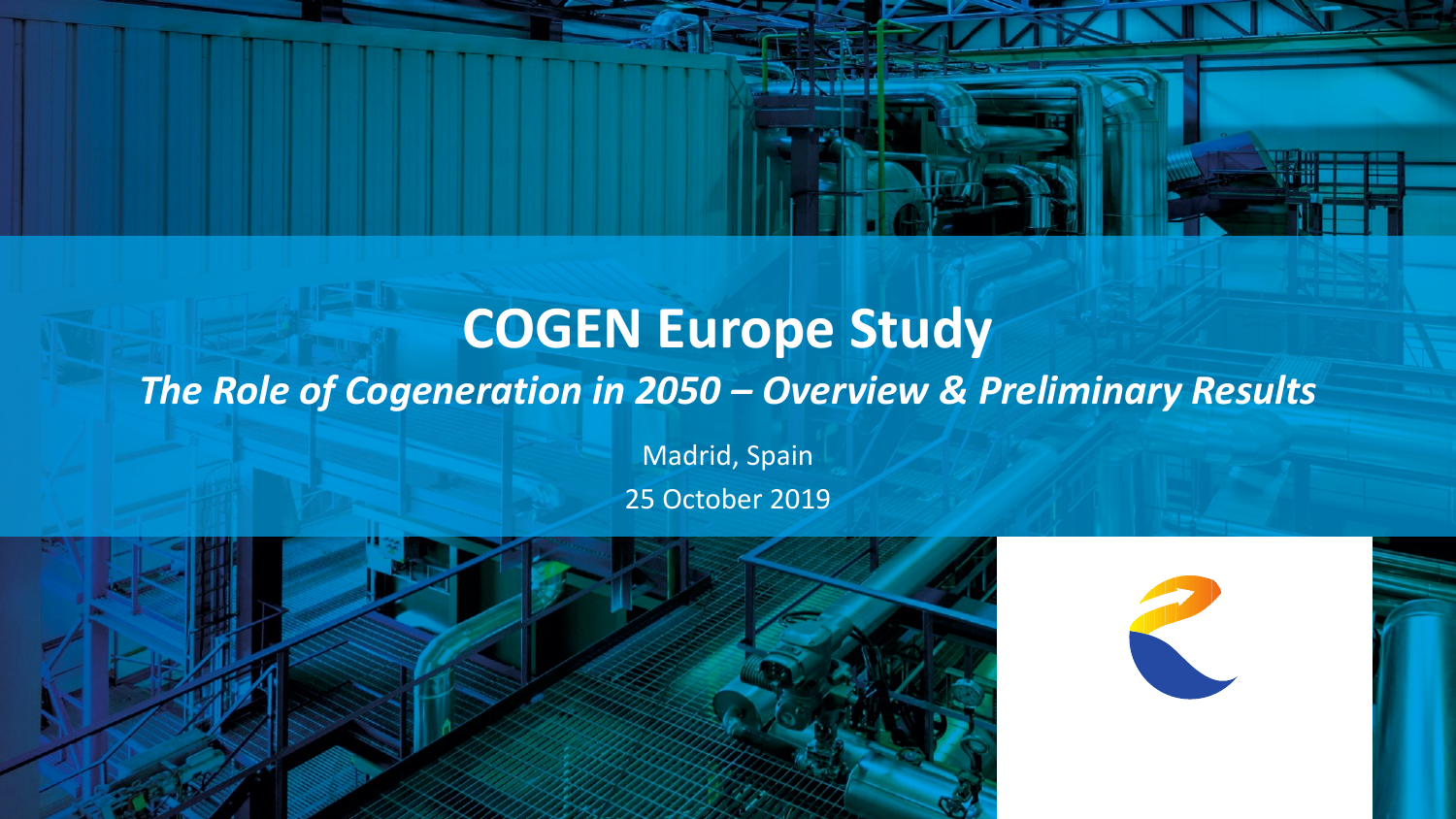## **COGEN Europe Study**  *The Role of Cogeneration in 2050 – Overview & Preliminary Results*

Madrid, Spain 25 October 2019



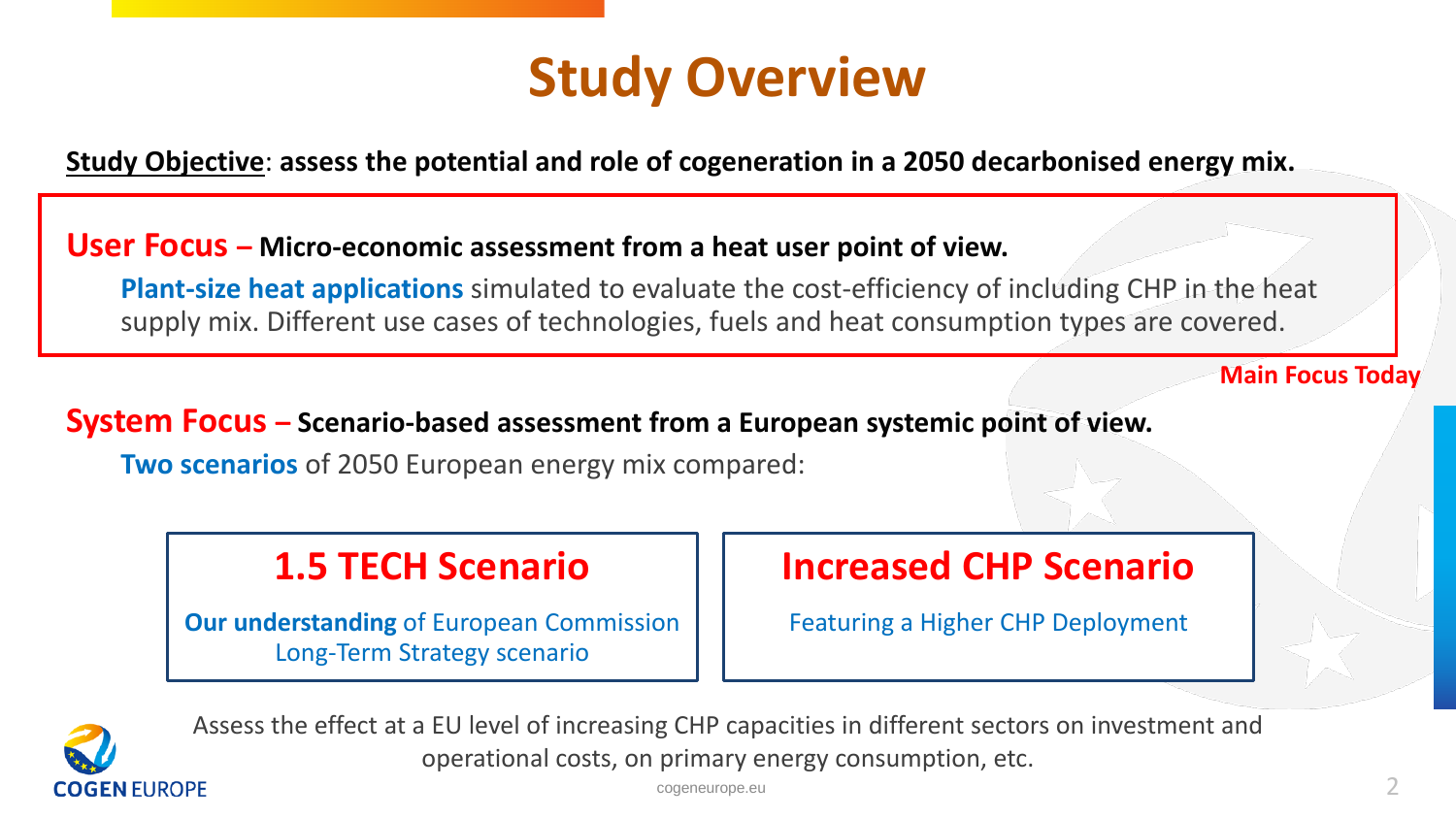

**Study Objective**: **assess the potential and role of cogeneration in a 2050 decarbonised energy mix.** 

#### **User Focus – Micro-economic assessment from a heat user point of view.**

**Plant-size heat applications** simulated to evaluate the cost-efficiency of including CHP in the heat supply mix. Different use cases of technologies, fuels and heat consumption types are covered.

**Main Focus Today**

#### **System Focus – Scenario-based assessment from a European systemic point of view.**

**Two scenarios** of 2050 European energy mix compared:

### **1.5 TECH Scenario**

**Our understanding** of European Commission Long-Term Strategy scenario

### **Increased CHP Scenario**

Featuring a Higher CHP Deployment



Assess the effect at a EU level of increasing CHP capacities in different sectors on investment and operational costs, on primary energy consumption, etc.

 $c$ ogeneurope.eu  $\sim$  2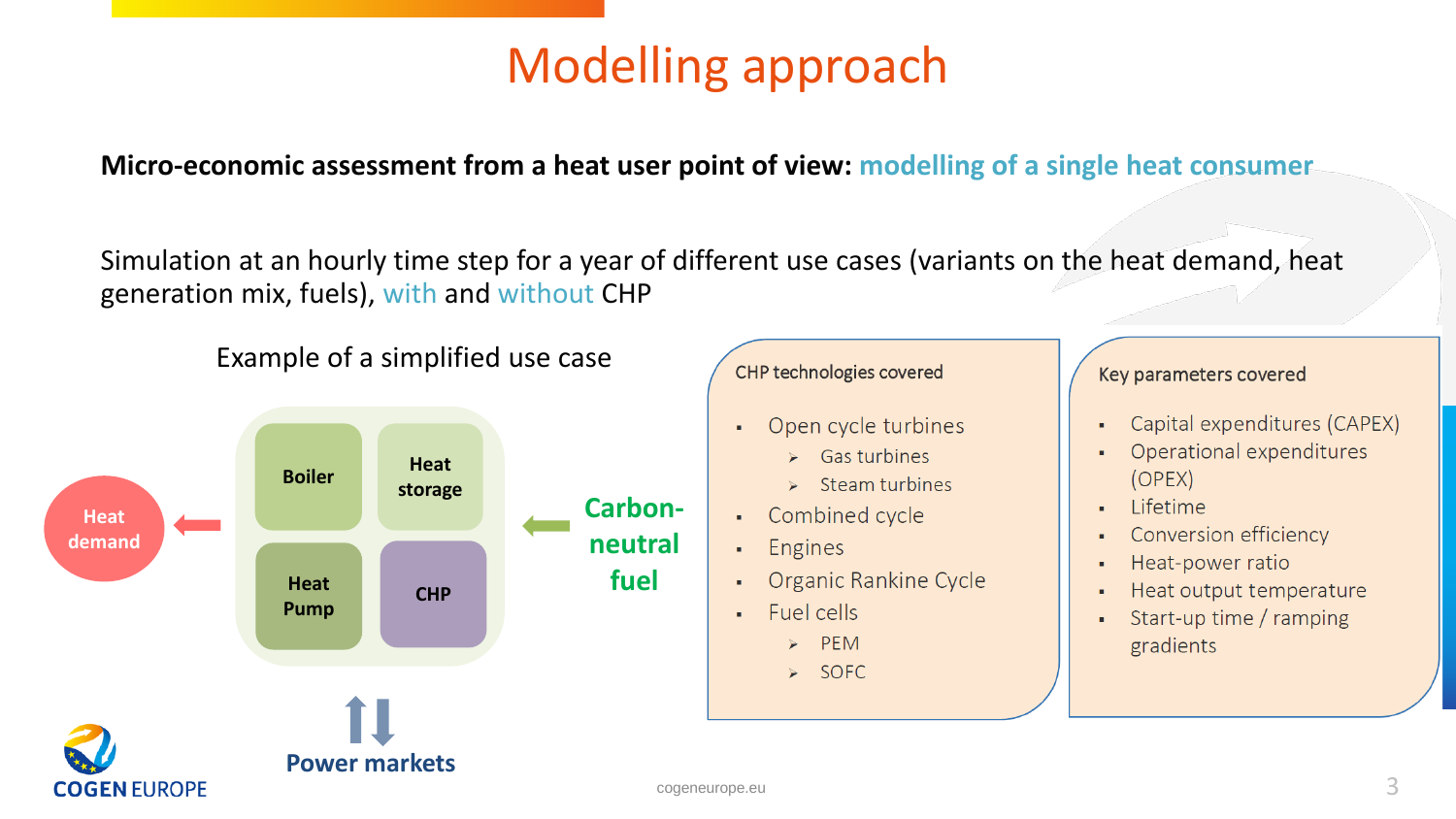# Modelling approach

**Micro-economic assessment from a heat user point of view: modelling of a single heat consumer**

Simulation at an hourly time step for a year of different use cases (variants on the heat demand, heat generation mix, fuels), with and without CHP

Example of a simplified use case



#### CHP technologies covered

- Open cycle turbines
	- $\triangleright$  Gas turbines
	- $\triangleright$  Steam turbines
- Combined cycle
- Engines
- Organic Rankine Cycle
- · Fuel cells
	- $\triangleright$  PEM
	- > SOFC

#### Key parameters covered

- Capital expenditures (CAPEX) ¥,
- Operational expenditures  $\mathbf{r}$  $(OPEX)$
- Lifetime  $\blacksquare$
- Conversion efficiency  $\blacksquare$
- Heat-power ratio ٠
- Heat output temperature ×
- Start-up time / ramping  $\overline{\phantom{a}}$ gradients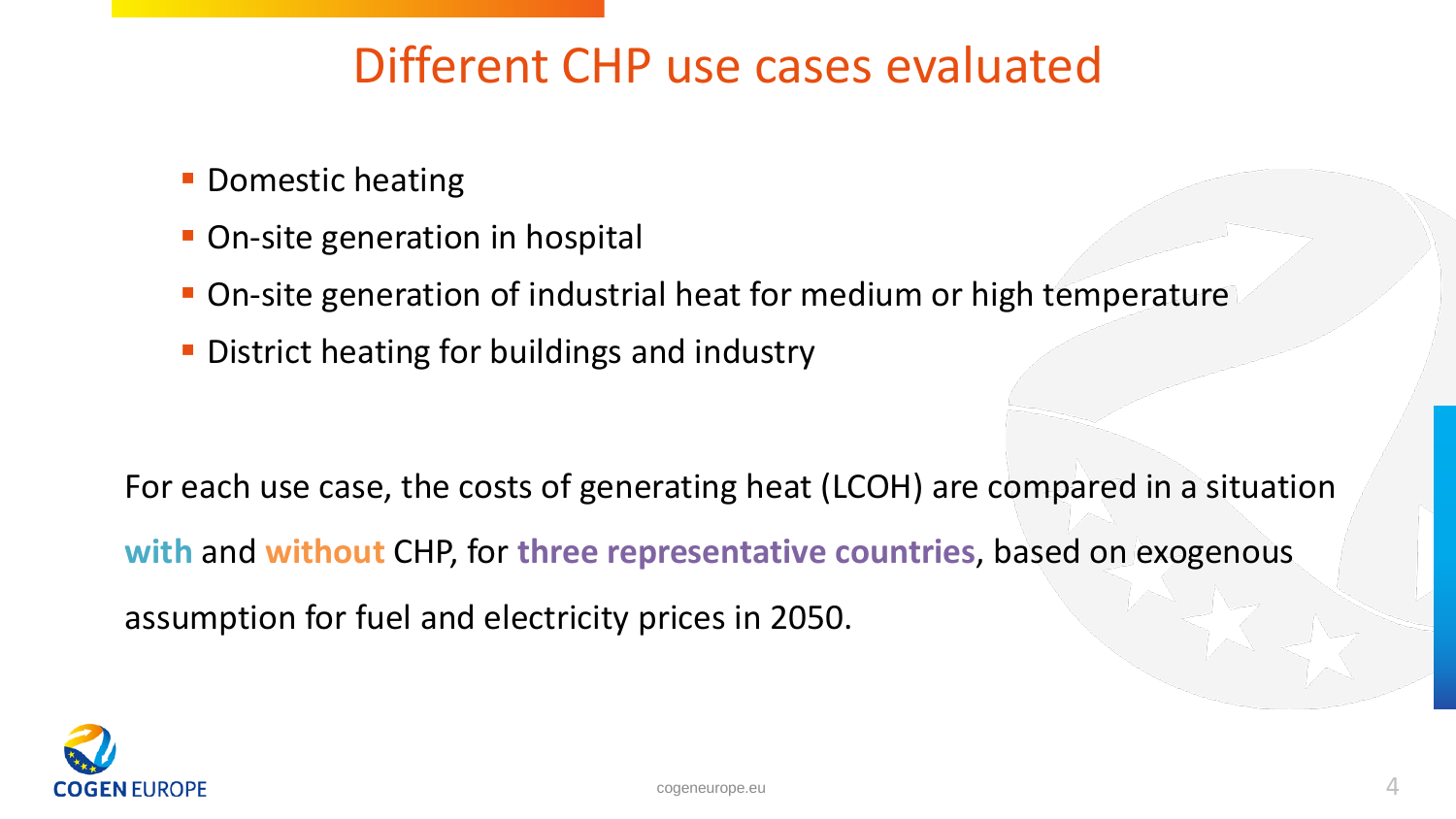## Different CHP use cases evaluated

- **Domestic heating**
- **On-site generation in hospital**
- On-site generation of industrial heat for medium or high temperature
- **District heating for buildings and industry**

For each use case, the costs of generating heat (LCOH) are compared in a situation **with** and **without** CHP, for **three representative countries**, based on exogenous assumption for fuel and electricity prices in 2050.

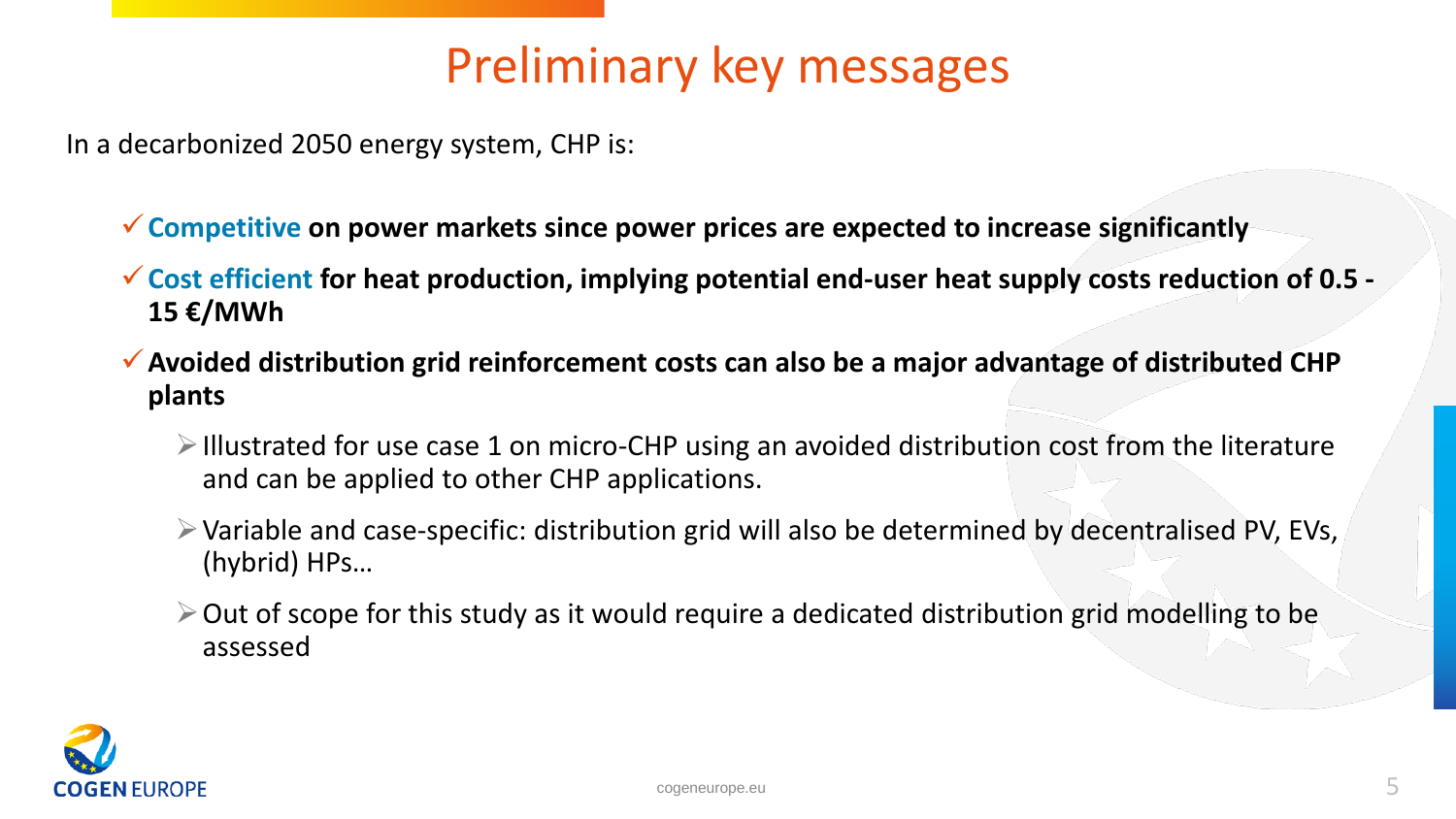# Preliminary key messages

In a decarbonized 2050 energy system, CHP is:

**Competitive on power markets since power prices are expected to increase significantly**

- **Cost efficient for heat production, implying potential end-user heat supply costs reduction of 0.5 - 15 €/MWh**
- **Avoided distribution grid reinforcement costs can also be a major advantage of distributed CHP plants**
	- $\triangleright$  Illustrated for use case 1 on micro-CHP using an avoided distribution cost from the literature and can be applied to other CHP applications.
	- Variable and case-specific: distribution grid will also be determined by decentralised PV, EVs, (hybrid) HPs…
	- $\geq$  Out of scope for this study as it would require a dedicated distribution grid modelling to be assessed